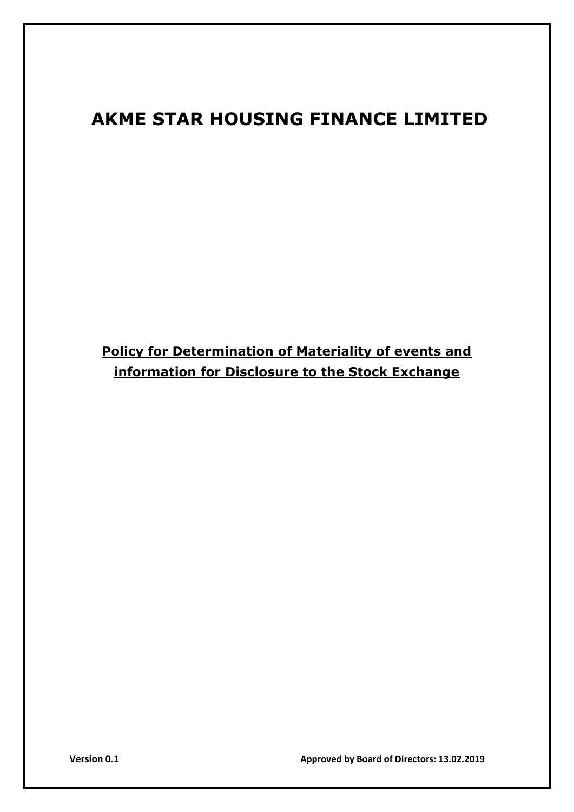# **AKME STAR HOUSING FINANCE LIMITED**

**Policy for Determination of Materiality of events and information for Disclosure to the Stock Exchange**

**Version 0.1 Approved by Board of Directors: 13.02.2019**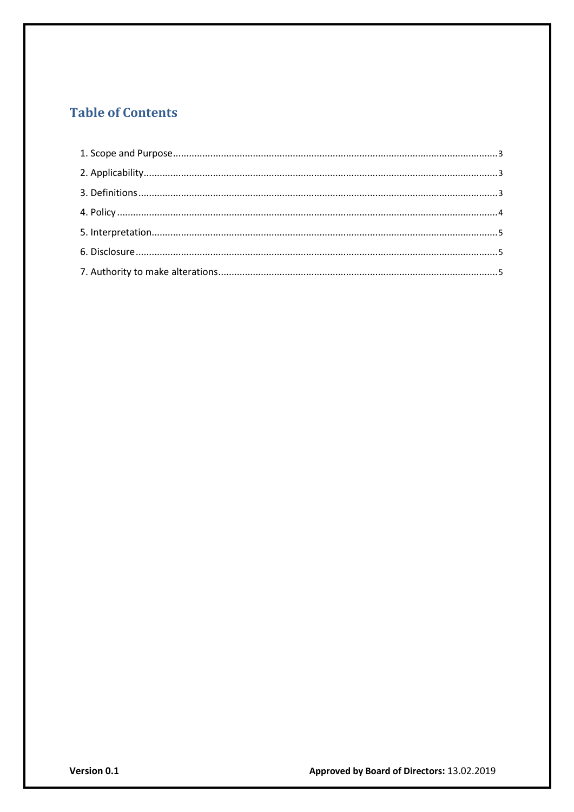# **Table of Contents**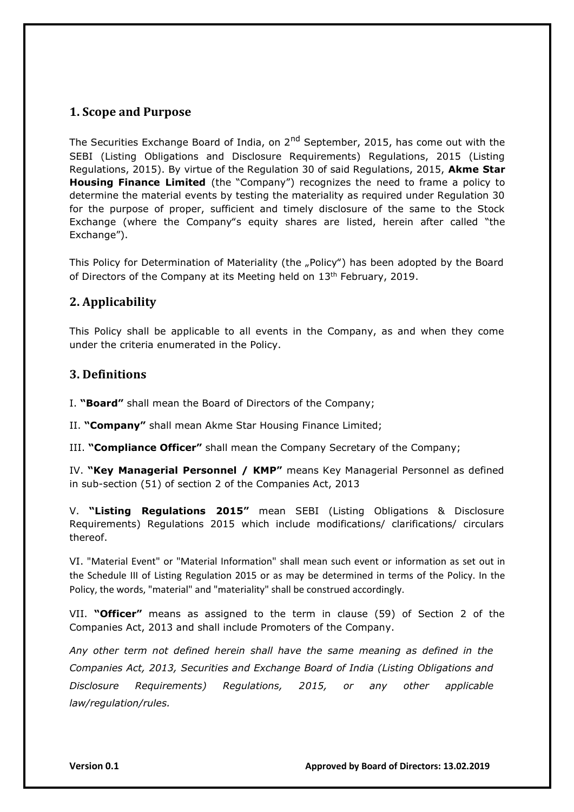# <span id="page-2-0"></span>**1. Scope and Purpose**

The Securities Exchange Board of India, on 2<sup>nd</sup> September, 2015, has come out with the SEBI (Listing Obligations and Disclosure Requirements) Regulations, 2015 (Listing Regulations, 2015). By virtue of the Regulation 30 of said Regulations, 2015, **Akme Star Housing Finance Limited** (the "Company") recognizes the need to frame a policy to determine the material events by testing the materiality as required under Regulation 30 for the purpose of proper, sufficient and timely disclosure of the same to the Stock Exchange (where the Company"s equity shares are listed, herein after called "the Exchange").

This Policy for Determination of Materiality (the "Policy") has been adopted by the Board of Directors of the Company at its Meeting held on 13<sup>th</sup> February, 2019.

# **2. Applicability**

This Policy shall be applicable to all events in the Company, as and when they come under the criteria enumerated in the Policy.

## **3. Definitions**

I. **"Board"** shall mean the Board of Directors of the Company;

II. **"Company"** shall mean Akme Star Housing Finance Limited;

III. **"Compliance Officer"** shall mean the Company Secretary of the Company;

IV. **"Key Managerial Personnel / KMP"** means Key Managerial Personnel as defined in sub-section (51) of section 2 of the Companies Act, 2013

V. **"Listing Regulations 2015"** mean SEBI (Listing Obligations & Disclosure Requirements) Regulations 2015 which include modifications/ clarifications/ circulars thereof.

VI. "Material Event" or "Material Information" shall mean such event or information as set out in the Schedule III of Listing Regulation 2015 or as may be determined in terms of the Policy. In the Policy, the words, "material" and "materiality" shall be construed accordingly.

VII. **"Officer"** means as assigned to the term in clause (59) of Section 2 of the Companies Act, 2013 and shall include Promoters of the Company.

*Any other term not defined herein shall have the same meaning as defined in the Companies Act, 2013, Securities and Exchange Board of India (Listing Obligations and Disclosure Requirements) Regulations, 2015, or any other applicable law/regulation/rules.*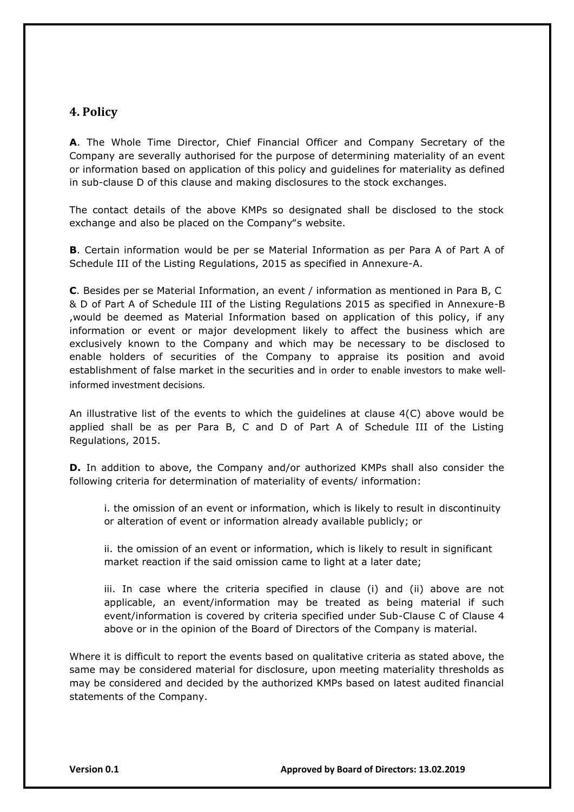## <span id="page-3-0"></span>**4. Policy**

**A**. The Whole Time Director, Chief Financial Officer and Company Secretary of the Company are severally authorised for the purpose of determining materiality of an event or information based on application of this policy and guidelines for materiality as defined in sub-clause D of this clause and making disclosures to the stock exchanges.

The contact details of the above KMPs so designated shall be disclosed to the stock exchange and also be placed on the Company"s website.

**B**. Certain information would be per se Material Information as per Para A of Part A of Schedule III of the Listing Regulations, 2015 as specified in Annexure-A.

**C**. Besides per se Material Information, an event / information as mentioned in Para B, C & D of Part A of Schedule III of the Listing Regulations 2015 as specified in Annexure-B ,would be deemed as Material Information based on application of this policy, if any information or event or major development likely to affect the business which are exclusively known to the Company and which may be necessary to be disclosed to enable holders of securities of the Company to appraise its position and avoid establishment of false market in the securities and in order to enable investors to make wellinformed investment decisions.

An illustrative list of the events to which the guidelines at clause 4(C) above would be applied shall be as per Para B, C and D of Part A of Schedule III of the Listing Regulations, 2015.

**D.** In addition to above, the Company and/or authorized KMPs shall also consider the following criteria for determination of materiality of events/ information:

i. the omission of an event or information, which is likely to result in discontinuity or alteration of event or information already available publicly; or

ii. the omission of an event or information, which is likely to result in significant market reaction if the said omission came to light at a later date;

iii. In case where the criteria specified in clause (i) and (ii) above are not applicable, an event/information may be treated as being material if such event/information is covered by criteria specified under Sub-Clause C of Clause 4 above or in the opinion of the Board of Directors of the Company is material.

Where it is difficult to report the events based on qualitative criteria as stated above, the same may be considered material for disclosure, upon meeting materiality thresholds as may be considered and decided by the authorized KMPs based on latest audited financial statements of the Company.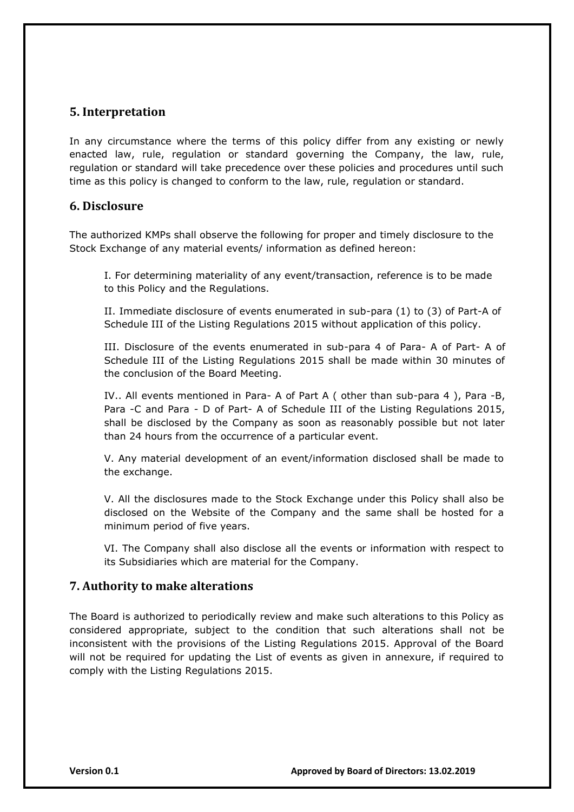#### <span id="page-4-0"></span>**5. Interpretation**

In any circumstance where the terms of this policy differ from any existing or newly enacted law, rule, regulation or standard governing the Company, the law, rule, regulation or standard will take precedence over these policies and procedures until such time as this policy is changed to conform to the law, rule, regulation or standard.

#### **6. Disclosure**

The authorized KMPs shall observe the following for proper and timely disclosure to the Stock Exchange of any material events/ information as defined hereon:

I. For determining materiality of any event/transaction, reference is to be made to this Policy and the Regulations.

II. Immediate disclosure of events enumerated in sub-para (1) to (3) of Part-A of Schedule III of the Listing Regulations 2015 without application of this policy.

III. Disclosure of the events enumerated in sub-para 4 of Para- A of Part- A of Schedule III of the Listing Regulations 2015 shall be made within 30 minutes of the conclusion of the Board Meeting.

IV.. All events mentioned in Para- A of Part A ( other than sub-para 4 ), Para -B, Para -C and Para - D of Part- A of Schedule III of the Listing Regulations 2015, shall be disclosed by the Company as soon as reasonably possible but not later than 24 hours from the occurrence of a particular event.

V. Any material development of an event/information disclosed shall be made to the exchange.

V. All the disclosures made to the Stock Exchange under this Policy shall also be disclosed on the Website of the Company and the same shall be hosted for a minimum period of five years.

VI. The Company shall also disclose all the events or information with respect to its Subsidiaries which are material for the Company.

#### **7. Authority to make alterations**

The Board is authorized to periodically review and make such alterations to this Policy as considered appropriate, subject to the condition that such alterations shall not be inconsistent with the provisions of the Listing Regulations 2015. Approval of the Board will not be required for updating the List of events as given in annexure, if required to comply with the Listing Regulations 2015.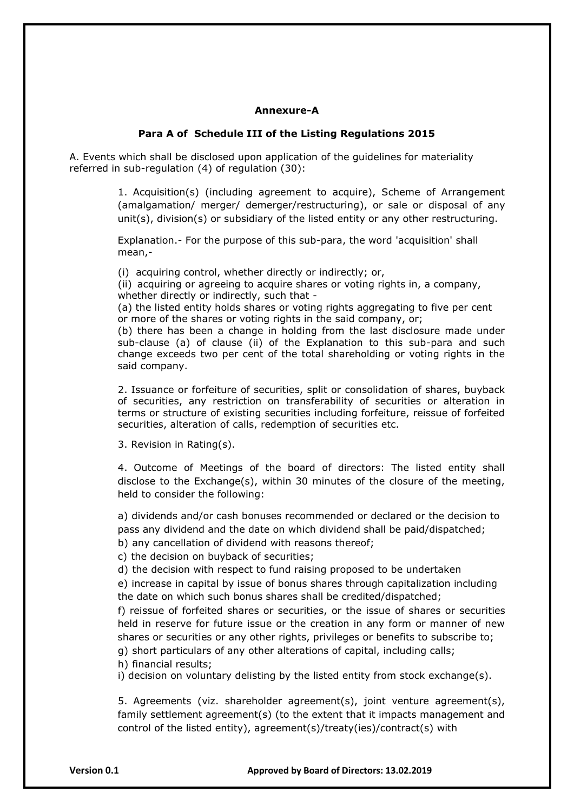#### **Annexure-A**

#### **Para A of Schedule III of the Listing Regulations 2015**

A. Events which shall be disclosed upon application of the guidelines for materiality referred in sub-regulation (4) of regulation (30):

> 1. Acquisition(s) (including agreement to acquire), Scheme of Arrangement (amalgamation/ merger/ demerger/restructuring), or sale or disposal of any unit(s), division(s) or subsidiary of the listed entity or any other restructuring.

Explanation.- For the purpose of this sub-para, the word 'acquisition' shall mean,-

(i) acquiring control, whether directly or indirectly; or,

(ii) acquiring or agreeing to acquire shares or voting rights in, a company, whether directly or indirectly, such that -

(a) the listed entity holds shares or voting rights aggregating to five per cent or more of the shares or voting rights in the said company, or;

(b) there has been a change in holding from the last disclosure made under sub-clause (a) of clause (ii) of the Explanation to this sub-para and such change exceeds two per cent of the total shareholding or voting rights in the said company.

2. Issuance or forfeiture of securities, split or consolidation of shares, buyback of securities, any restriction on transferability of securities or alteration in terms or structure of existing securities including forfeiture, reissue of forfeited securities, alteration of calls, redemption of securities etc.

3. Revision in Rating(s).

4. Outcome of Meetings of the board of directors: The listed entity shall disclose to the Exchange(s), within 30 minutes of the closure of the meeting, held to consider the following:

a) dividends and/or cash bonuses recommended or declared or the decision to pass any dividend and the date on which dividend shall be paid/dispatched;

b) any cancellation of dividend with reasons thereof;

c) the decision on buyback of securities;

d) the decision with respect to fund raising proposed to be undertaken

e) increase in capital by issue of bonus shares through capitalization including the date on which such bonus shares shall be credited/dispatched;

f) reissue of forfeited shares or securities, or the issue of shares or securities held in reserve for future issue or the creation in any form or manner of new shares or securities or any other rights, privileges or benefits to subscribe to;

g) short particulars of any other alterations of capital, including calls;

h) financial results;

i) decision on voluntary delisting by the listed entity from stock exchange(s).

5. Agreements (viz. shareholder agreement(s), joint venture agreement(s), family settlement agreement(s) (to the extent that it impacts management and control of the listed entity), agreement(s)/treaty(ies)/contract(s) with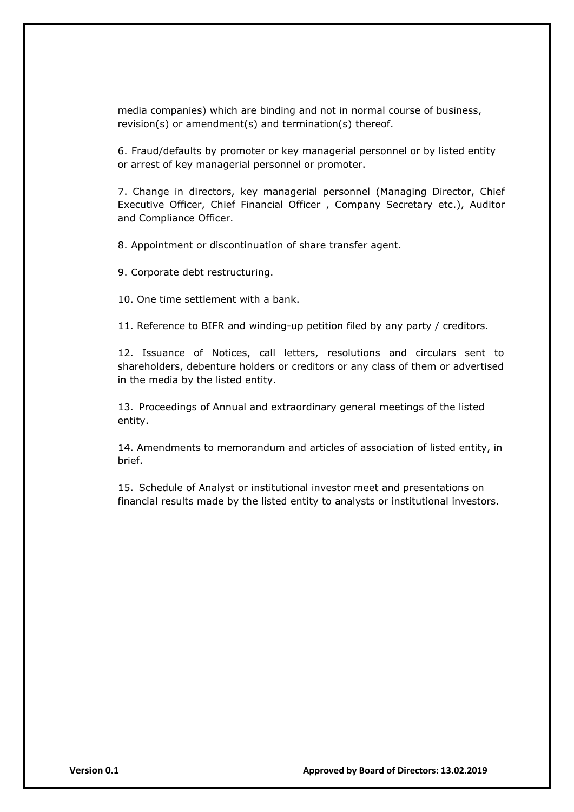media companies) which are binding and not in normal course of business, revision(s) or amendment(s) and termination(s) thereof.

6. Fraud/defaults by promoter or key managerial personnel or by listed entity or arrest of key managerial personnel or promoter.

7. Change in directors, key managerial personnel (Managing Director, Chief Executive Officer, Chief Financial Officer , Company Secretary etc.), Auditor and Compliance Officer.

8. Appointment or discontinuation of share transfer agent.

9. Corporate debt restructuring.

10. One time settlement with a bank.

11. Reference to BIFR and winding-up petition filed by any party / creditors.

12. Issuance of Notices, call letters, resolutions and circulars sent to shareholders, debenture holders or creditors or any class of them or advertised in the media by the listed entity.

13. Proceedings of Annual and extraordinary general meetings of the listed entity.

14. Amendments to memorandum and articles of association of listed entity, in brief.

15. Schedule of Analyst or institutional investor meet and presentations on financial results made by the listed entity to analysts or institutional investors.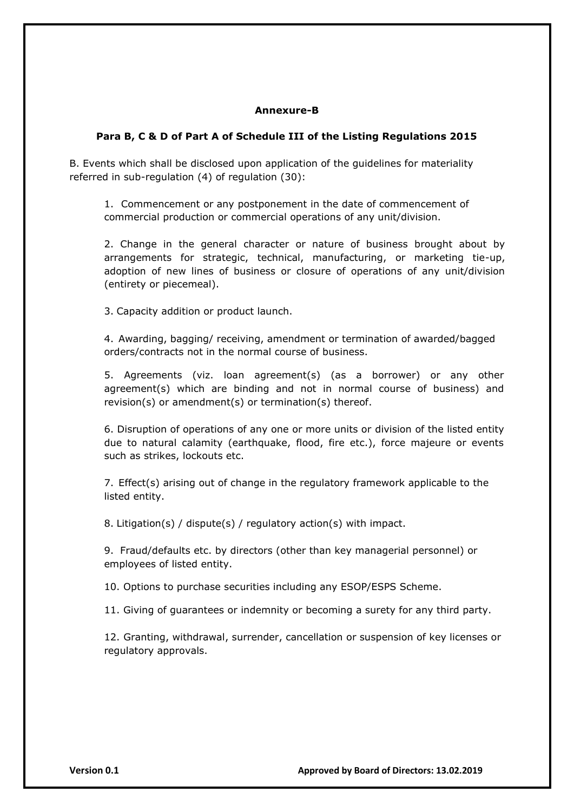#### **Annexure-B**

#### **Para B, C & D of Part A of Schedule III of the Listing Regulations 2015**

B. Events which shall be disclosed upon application of the guidelines for materiality referred in sub-regulation (4) of regulation (30):

1. Commencement or any postponement in the date of commencement of commercial production or commercial operations of any unit/division.

2. Change in the general character or nature of business brought about by arrangements for strategic, technical, manufacturing, or marketing tie-up, adoption of new lines of business or closure of operations of any unit/division (entirety or piecemeal).

3. Capacity addition or product launch.

4. Awarding, bagging/ receiving, amendment or termination of awarded/bagged orders/contracts not in the normal course of business.

5. Agreements (viz. loan agreement(s) (as a borrower) or any other agreement(s) which are binding and not in normal course of business) and revision(s) or amendment(s) or termination(s) thereof.

6. Disruption of operations of any one or more units or division of the listed entity due to natural calamity (earthquake, flood, fire etc.), force majeure or events such as strikes, lockouts etc.

7. Effect(s) arising out of change in the regulatory framework applicable to the listed entity.

8. Litigation(s) / dispute(s) / regulatory action(s) with impact.

9. Fraud/defaults etc. by directors (other than key managerial personnel) or employees of listed entity.

10. Options to purchase securities including any ESOP/ESPS Scheme.

11. Giving of guarantees or indemnity or becoming a surety for any third party.

12. Granting, withdrawal, surrender, cancellation or suspension of key licenses or regulatory approvals.